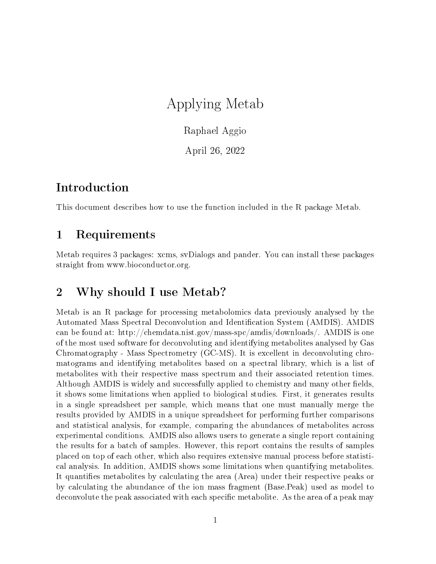# Applying Metab

Raphael Aggio

April 26, 2022

## Introduction

This document describes how to use the function included in the R package Metab.

## 1 Requirements

Metab requires 3 packages: xcms, svDialogs and pander. You can install these packages straight from www.bioconductor.org.

## 2 Why should I use Metab?

Metab is an R package for processing metabolomics data previously analysed by the Automated Mass Spectral Deconvolution and Identication System (AMDIS). AMDIS can be found at: http://chemdata.nist.gov/mass-spc/amdis/downloads/. AMDIS is one of the most used software for deconvoluting and identifying metabolites analysed by Gas Chromatography - Mass Spectrometry (GC-MS). It is excellent in deconvoluting chromatograms and identifying metabolites based on a spectral library, which is a list of metabolites with their respective mass spectrum and their associated retention times. Although AMDIS is widely and successfully applied to chemistry and many other fields. it shows some limitations when applied to biological studies. First, it generates results in a single spreadsheet per sample, which means that one must manually merge the results provided by AMDIS in a unique spreadsheet for performing further comparisons and statistical analysis, for example, comparing the abundances of metabolites across experimental conditions. AMDIS also allows users to generate a single report containing the results for a batch of samples. However, this report contains the results of samples placed on top of each other, which also requires extensive manual process before statistical analysis. In addition, AMDIS shows some limitations when quantifying metabolites. It quantifies metabolites by calculating the area (Area) under their respective peaks or by calculating the abundance of the ion mass fragment (Base.Peak) used as model to deconvolute the peak associated with each specific metabolite. As the area of a peak may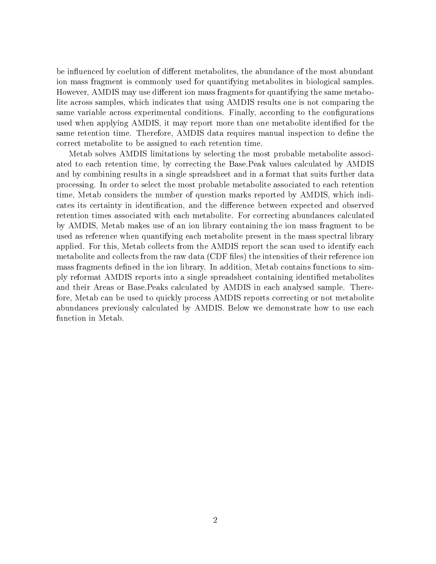be influenced by coelution of different metabolites, the abundance of the most abundant ion mass fragment is commonly used for quantifying metabolites in biological samples. However, AMDIS may use different ion mass fragments for quantifying the same metabolite across samples, which indicates that using AMDIS results one is not comparing the same variable across experimental conditions. Finally, according to the configurations used when applying AMDIS, it may report more than one metabolite identified for the same retention time. Therefore, AMDIS data requires manual inspection to define the correct metabolite to be assigned to each retention time.

Metab solves AMDIS limitations by selecting the most probable metabolite associated to each retention time, by correcting the Base.Peak values calculated by AMDIS and by combining results in a single spreadsheet and in a format that suits further data processing. In order to select the most probable metabolite associated to each retention time, Metab considers the number of question marks reported by AMDIS, which indicates its certainty in identification, and the difference between expected and observed retention times associated with each metabolite. For correcting abundances calculated by AMDIS, Metab makes use of an ion library containing the ion mass fragment to be used as reference when quantifying each metabolite present in the mass spectral library applied. For this, Metab collects from the AMDIS report the scan used to identify each metabolite and collects from the raw data (CDF files) the intensities of their reference ion mass fragments defined in the ion library. In addition, Metab contains functions to simply reformat AMDIS reports into a single spreadsheet containing identified metabolites and their Areas or Base.Peaks calculated by AMDIS in each analysed sample. Therefore, Metab can be used to quickly process AMDIS reports correcting or not metabolite abundances previously calculated by AMDIS. Below we demonstrate how to use each function in Metab.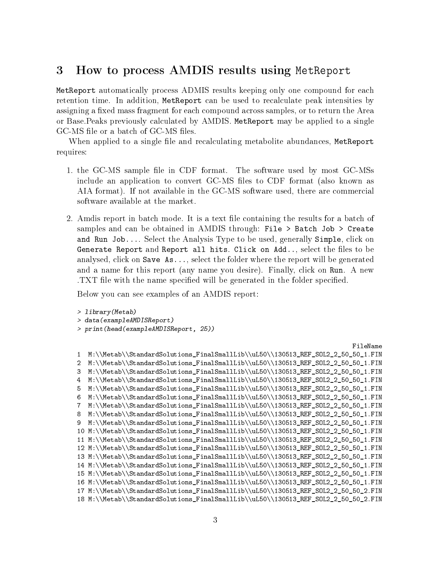### 3 How to process AMDIS results using MetReport

MetReport automatically process ADMIS results keeping only one compound for each retention time. In addition, MetReport can be used to recalculate peak intensities by assigning a fixed mass fragment for each compound across samples, or to return the Area or Base.Peaks previously calculated by AMDIS. MetReport may be applied to a single GC-MS file or a batch of GC-MS files.

When applied to a single file and recalculating metabolite abundances, MetReport requires:

- 1. the GC-MS sample file in CDF format. The software used by most GC-MSs include an application to convert GC-MS files to CDF format (also known as AIA format). If not available in the GC-MS software used, there are commercial software available at the market.
- 2. Amdis report in batch mode. It is a text file containing the results for a batch of samples and can be obtained in AMDIS through: File > Batch Job > Create and Run Job.... Select the Analysis Type to be used, generally Simple, click on Generate Report and Report all hits. Click on  $Add...$ , select the files to be analysed, click on Save As..., select the folder where the report will be generated and a name for this report (any name you desire). Finally, click on Run. A new TXT file with the name specified will be generated in the folder specified.

Below you can see examples of an AMDIS report:

```
> library(Metab)
> data(exampleAMDISReport)
> print(head(exampleAMDISReport, 25))
```
#### FileName

```
1 M:\\Metab\\StandardSolutions_FinalSmallLib\\uL50\\130513_REF_SOL2_2_50_50_1.FIN
2 M:\\Metab\\StandardSolutions_FinalSmallLib\\uL50\\130513_REF_SOL2_2_50_50_1.FIN
3 M:\\Metab\\StandardSolutions_FinalSmallLib\\uL50\\130513_REF_SOL2_2_50_50_1.FIN
4 M:\\Metab\\StandardSolutions_FinalSmallLib\\uL50\\130513_REF_SOL2_2_50_50_1.FIN
5 M:\\Metab\\StandardSolutions_FinalSmallLib\\uL50\\130513_REF_SOL2_2_50_50_1.FIN
6 M:\\Metab\\StandardSolutions_FinalSmallLib\\uL50\\130513_REF_SOL2_2_50_50_1.FIN
7 M:\\Metab\\StandardSolutions_FinalSmallLib\\uL50\\130513_REF_SOL2_2_50_50_1.FIN
8 M:\\Metab\\StandardSolutions_FinalSmallLib\\uL50\\130513_REF_SOL2_2_50_50_1.FIN
9 M:\\Metab\\StandardSolutions_FinalSmallLib\\uL50\\130513_REF_SOL2_2_50_50_1.FIN
10 M:\\Metab\\StandardSolutions_FinalSmallLib\\uL50\\130513_REF_SOL2_2_50_50_1.FIN
11 M:\\Metab\\StandardSolutions_FinalSmallLib\\uL50\\130513_REF_SOL2_2_50_50_1.FIN
12 M:\\Metab\\StandardSolutions_FinalSmallLib\\uL50\\130513_REF_SOL2_2_50_50_1.FIN
13 M:\\Metab\\StandardSolutions_FinalSmallLib\\uL50\\130513_REF_SOL2_2_50_50_1.FIN
14 M:\\Metab\\StandardSolutions_FinalSmallLib\\uL50\\130513_REF_SOL2_2_50_50_1.FIN
15 M:\\Metab\\StandardSolutions_FinalSmallLib\\uL50\\130513_REF_SOL2_2_50_50_1.FIN
16 M:\\Metab\\StandardSolutions_FinalSmallLib\\uL50\\130513_REF_SOL2_2_50_50_1.FIN
17 M:\\Metab\\StandardSolutions_FinalSmallLib\\uL50\\130513_REF_SOL2_2_50_50_2.FIN
18 M:\\Metab\\StandardSolutions_FinalSmallLib\\uL50\\130513_REF_SOL2_2_50_50_2.FIN
```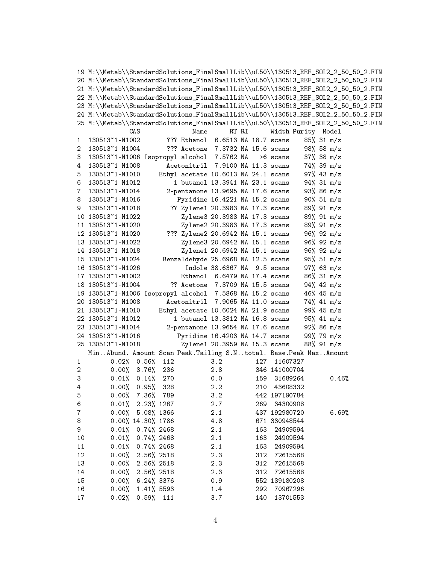|              | 19 M:\\Metab\\StandardSolutions_FinalSmallLib\\uL50\\130513_REF_SOL2_2_50_50_2.FIN |                          |      |                                     |       |     |                    |  |              |  |  |
|--------------|------------------------------------------------------------------------------------|--------------------------|------|-------------------------------------|-------|-----|--------------------|--|--------------|--|--|
|              | 20 M:\\Metab\\StandardSolutions_FinalSmallLib\\uL50\\130513_REF_S0L2_2_50_50_2.FIN |                          |      |                                     |       |     |                    |  |              |  |  |
|              | 21 M:\\Metab\\StandardSolutions_FinalSmallLib\\uL50\\130513_REF_S0L2_2_50_50_2.FIN |                          |      |                                     |       |     |                    |  |              |  |  |
|              | 22 M:\\Metab\\StandardSolutions_FinalSmallLib\\uL50\\130513_REF_S0L2_2_50_50_2.FIN |                          |      |                                     |       |     |                    |  |              |  |  |
|              | 23 M:\\Metab\\StandardSolutions_FinalSmallLib\\uL50\\130513_REF_S0L2_2_50_50_2.FIN |                          |      |                                     |       |     |                    |  |              |  |  |
|              | 24 M:\\Metab\\StandardSolutions_FinalSmallLib\\uL50\\130513_REF_S0L2_2_50_50_2.FIN |                          |      |                                     |       |     |                    |  |              |  |  |
|              | 25 M:\\Metab\\StandardSolutions_FinalSmallLib\\uL50\\130513_REF_S0L2_2_50_50_2.FIN |                          |      |                                     |       |     |                    |  |              |  |  |
|              | CAS                                                                                |                          | Name |                                     | RT RI |     | Width Purity Model |  |              |  |  |
| $\mathbf{1}$ | 130513~1-N1002                                                                     |                          |      | ??? Ethanol 6.6513 NA 18.7 scans    |       |     |                    |  | 85% 31 m/z   |  |  |
| 2            | 130513~1-N1004                                                                     |                          |      | ??? Acetone 7.3732 NA 15.6 scans    |       |     |                    |  | 98%58 m/z    |  |  |
| 3            | 130513~1-N1006 Isopropyl alcohol 7.5762 NA                                         |                          |      |                                     |       |     | $>6$ scans         |  | 37%38 m/z    |  |  |
| 4            | 130513~1-N1008                                                                     |                          |      | Acetonitril 7.9100 NA 11.3 scans    |       |     |                    |  | 74%39 m/z    |  |  |
| 5            | 130513~1-N1010                                                                     |                          |      | Ethyl acetate 10.6013 NA 24.1 scans |       |     |                    |  | $97%$ 43 m/z |  |  |
| 6            | 130513~1-N1012                                                                     |                          |      | 1-butanol 13.3941 NA 23.1 scans     |       |     |                    |  | 94%31 m/z    |  |  |
| 7            | 130513~1-N1014                                                                     |                          |      | 2-pentanone 13.9695 NA 17.6 scans   |       |     |                    |  | 93%86 m/z    |  |  |
| 8            | 130513~1-N1016                                                                     |                          |      | Pyridine 16.4221 NA 15.2 scans      |       |     |                    |  | 90% 51 m/z   |  |  |
|              | 130513~1-N1018                                                                     |                          |      |                                     |       |     |                    |  | 89% 91 m/z   |  |  |
| 9            |                                                                                    |                          |      | ?? Zylene1 20.3983 NA 17.3 scans    |       |     |                    |  |              |  |  |
|              | 10 130513~1-N1022                                                                  |                          |      | Zylene3 20.3983 NA 17.3 scans       |       |     |                    |  | 89% 91 m/z   |  |  |
|              | 11 130513~1-N1020                                                                  |                          |      | Zylene2 20.3983 NA 17.3 scans       |       |     |                    |  | 89% 91 m/z   |  |  |
|              | 12 130513~1-N1020                                                                  |                          |      | ??? Zylene2 20.6942 NA 15.1 scans   |       |     |                    |  | 96%92 m/z    |  |  |
|              | 13 130513~1-N1022                                                                  |                          |      | Zylene3 20.6942 NA 15.1 scans       |       |     |                    |  | 96%92 m/z    |  |  |
|              | 14 130513~1-N1018                                                                  |                          |      | Zylene1 20.6942 NA 15.1 scans       |       |     |                    |  | 96%92 m/z    |  |  |
|              | 15 130513~1-N1024                                                                  |                          |      | Benzaldehyde 25.6968 NA 12.5 scans  |       |     |                    |  | 95% 51 m/z   |  |  |
|              | 16 130513~1-N1026                                                                  |                          |      | Indole 38.6367 NA 9.5 scans         |       |     |                    |  | $97%$ 63 m/z |  |  |
|              | 17 130513~1-N1002                                                                  |                          |      | Ethanol 6.6479 NA 17.4 scans        |       |     |                    |  | 86%31 m/z    |  |  |
|              | 18 130513~1-N1004                                                                  |                          |      | ?? Acetone 7.3709 NA 15.5 scans     |       |     |                    |  | $94%$ 42 m/z |  |  |
|              | 19 130513"1-N1006 Isopropyl alcohol 7.5868 NA 15.2 scans                           |                          |      |                                     |       |     |                    |  | 46% 45 $m/z$ |  |  |
|              | 20 130513~1-N1008                                                                  |                          |      | Acetonitril 7.9065 NA 11.0 scans    |       |     |                    |  | 74% 41 m/z   |  |  |
|              | 21 130513~1-N1010                                                                  |                          |      | Ethyl acetate 10.6024 NA 21.9 scans |       |     |                    |  | 99% 45 m/z   |  |  |
|              | 22 130513~1-N1012                                                                  |                          |      | 1-butanol 13.3812 NA 16.8 scans     |       |     |                    |  | $95%$ 41 m/z |  |  |
|              | 23 130513~1-N1014                                                                  |                          |      | 2-pentanone 13.9654 NA 17.6 scans   |       |     |                    |  | 92%86 m/z    |  |  |
|              | 24 130513~1-N1016                                                                  |                          |      | Pyridine 16.4203 NA 14.7 scans      |       |     |                    |  | 99% 79 m/z   |  |  |
|              | 25 130513~1-N1018                                                                  |                          |      | Zylene1 20.3959 NA 15.3 scans       |       |     |                    |  | 88% 91 m/z   |  |  |
|              | MinAbund. Amount Scan Peak.Tailing S.Ntotal. Base.Peak MaxAmount                   |                          |      |                                     |       |     |                    |  |              |  |  |
| $\mathbf{1}$ | $0.02\%$ 0.56%                                                                     | 112                      |      | 3.2                                 |       | 127 | 11607327           |  |              |  |  |
| 2            |                                                                                    | $0.00\%$ 3.76% 236       |      | 2.8                                 |       |     | 346 141000704      |  |              |  |  |
| 3            | 0.01%                                                                              | $0.14\%$<br>270          |      | 0.0                                 |       | 159 | 31689264           |  | 0.46%        |  |  |
| 4            | $0.00\%$ 0.95%                                                                     | 328                      |      | 2.2                                 |       |     | 210 43608332       |  |              |  |  |
| 5            |                                                                                    | $0.00\%$ 7.36% 789       |      | 3.2                                 |       |     | 442 197190784      |  |              |  |  |
| 6            |                                                                                    | $0.01\%$ 2.23 $\%$ 1267  |      | 2.7                                 |       |     | 269 34300908       |  |              |  |  |
| 7            |                                                                                    | $0.00\%$ 5.08% 1366      |      | 2.1                                 |       |     | 437 192980720      |  | 6.69%        |  |  |
| 8            |                                                                                    | $0.00\%$ 14.30 $\%$ 1786 |      | 4.8                                 |       |     | 671 330948544      |  |              |  |  |
| 9            | 0.01%                                                                              | 0.74% 2468               |      | 2.1                                 |       | 163 | 24909594           |  |              |  |  |
| 10           | 0.01%                                                                              | 0.74% 2468               |      | 2.1                                 |       | 163 | 24909594           |  |              |  |  |
| 11           | 0.01%                                                                              | 0.74% 2468               |      | 2.1                                 |       | 163 | 24909594           |  |              |  |  |
| 12           | 0.00%                                                                              | 2.56% 2518               |      | 2.3                                 |       | 312 | 72615568           |  |              |  |  |
| 13           | 0.00%                                                                              | 2.56% 2518               |      | 2.3                                 |       | 312 | 72615568           |  |              |  |  |
| 14           | 0.00%                                                                              | 2.56% 2518               |      | 2.3                                 |       | 312 | 72615568           |  |              |  |  |
| 15           | 0.00%                                                                              | 6.24% 3376               |      |                                     |       |     | 552 139180208      |  |              |  |  |
| 16           | 0.00%                                                                              | 1.41% 5593               |      | 0.9<br>1.4                          |       | 292 | 70967296           |  |              |  |  |
|              |                                                                                    |                          |      |                                     |       |     |                    |  |              |  |  |
| 17           | 0.02%                                                                              | $0.59%$ 111              |      | 3.7                                 |       | 140 | 13701553           |  |              |  |  |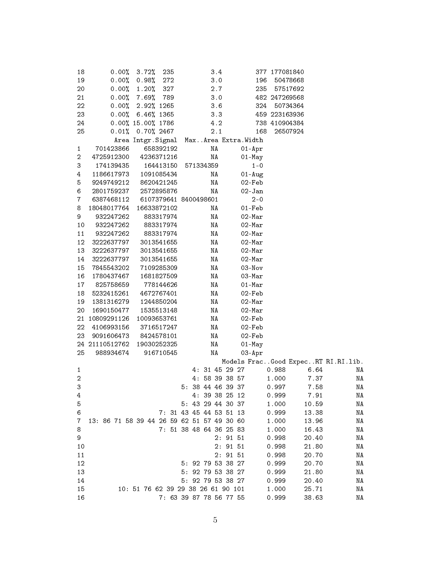| 18                      | $0.00\%$       | 3.72%<br>235                               |                         | 3.4     |                   | 377 177081840 |          |                                    |
|-------------------------|----------------|--------------------------------------------|-------------------------|---------|-------------------|---------------|----------|------------------------------------|
| 19                      | $0.00\%$       | 0.98%<br>272                               |                         | 3.0     | 196               |               | 50478668 |                                    |
| 20                      |                | $0.00\%$ 1.20%<br>327                      |                         | 2.7     | 235               |               | 57517692 |                                    |
| 21                      |                | $0.00\%$ 7.69%<br>789                      |                         | 3.0     |                   | 482 247269568 |          |                                    |
| 22                      | $0.00\%$       | 2.92% 1265                                 |                         | 3.6     |                   | 324 50734364  |          |                                    |
| 23                      |                | $0.00\%$ 6.46% 1365                        |                         | 3.3     |                   | 459 223163936 |          |                                    |
| 24                      |                | $0.00\%$ 15.00% 1786                       |                         | 4.2     |                   | 738 410904384 |          |                                    |
| 25                      |                | $0.01\%$ 0.70% 2467                        |                         | 2.1     | 168               |               | 26507924 |                                    |
|                         |                | Area Intgr. Signal Max Area Extra. Width   |                         |         |                   |               |          |                                    |
| $\mathbf{1}$            | 701423866      | 658392192                                  |                         | ΝA      | $01 - Apr$        |               |          |                                    |
| 2                       | 4725912300     | 4236371216                                 |                         | ΝA      | $01 - May$        |               |          |                                    |
| 3                       | 174139435      | 164413150                                  | 571334359               |         | $1 - 0$           |               |          |                                    |
| 4                       | 1186617973     | 1091085434                                 |                         | ΝA      | $01 - Aug$        |               |          |                                    |
| 5                       | 9249749212     | 8620421245                                 |                         | NA      | 02-Feb            |               |          |                                    |
| 6                       | 2801759237     | 2572895876                                 |                         | ΝA      | $02 - Jan$        |               |          |                                    |
| $\overline{7}$          | 6387468112     | 6107379641 8400498601                      |                         |         | $2 - 0$           |               |          |                                    |
| 8                       | 18048017764    | 16633872102                                |                         | ΝA      | 01-Feb            |               |          |                                    |
| 9                       | 932247262      | 883317974                                  |                         | NA      | $02 - Max$        |               |          |                                    |
| 10                      | 932247262      | 883317974                                  |                         | NA      | $02 - Mar$        |               |          |                                    |
| 11                      | 932247262      | 883317974                                  |                         | NA      | $02 - Mar$        |               |          |                                    |
| 12                      | 3222637797     | 3013541655                                 |                         | ΝA      | 02-Mar            |               |          |                                    |
| 13                      | 3222637797     | 3013541655                                 |                         | ΝA      | 02-Mar            |               |          |                                    |
| 14                      | 3222637797     | 3013541655                                 |                         | NA      | $02 - Max$        |               |          |                                    |
| 15                      | 7845543202     | 7109285309                                 |                         | NA      | $03 - Nov$        |               |          |                                    |
| 16                      | 1780437467     | 1681827509                                 |                         | NA      | 03-Mar            |               |          |                                    |
| 17                      | 825758659      | 778144626                                  |                         | NA      | $01 - \text{Mar}$ |               |          |                                    |
| 18                      | 5232415261     | 4672767401                                 |                         | NA      | 02-Feb            |               |          |                                    |
| 19                      | 1381316279     | 1244850204                                 |                         | NA      | $02 - Mar$        |               |          |                                    |
| 20                      | 1690150477     | 1535513148                                 |                         | NA      | $02 - Mar$        |               |          |                                    |
| 21                      | 10809291126    | 10093653761                                |                         | ΝA      | 02-Feb            |               |          |                                    |
| 22                      | 4106993156     | 3716517247                                 |                         | ΝA      | 02-Feb            |               |          |                                    |
| 23                      | 9091606473     | 8424578101                                 |                         | NA      | 02-Feb            |               |          |                                    |
|                         | 24 21110512762 | 19030252325                                |                         | ΝA      | $01 - May$        |               |          |                                    |
| 25                      | 988934674      | 916710545                                  |                         | ΝA      | $03 - Apr$        |               |          |                                    |
|                         |                |                                            |                         |         |                   |               |          | Models FracGood ExpecRT RI.RI.lib. |
| 1                       |                |                                            | 4: 31 45 29 27          |         |                   | 0.988         | 6.64     | ΝA                                 |
| $\overline{\mathbf{c}}$ |                |                                            | 4: 58 39 38 57          |         |                   | 1.000         | 7.37     | ΝA                                 |
| 3                       |                |                                            | 5: 38 44 46 39 37       |         |                   | 0.997         | 7.58     | ΝA                                 |
| 4                       |                |                                            | 4: 39 38 25 12          |         |                   | 0.999         | 7.91     | ΝA                                 |
| 5                       |                |                                            | 5: 43 29 44 30 37       |         |                   | 1.000         | 10.59    | ΝA                                 |
| 6                       |                |                                            | 7: 31 43 45 44 53 51 13 |         |                   | 0.999         | 13.38    | ΝA                                 |
| $\mathbf{7}$            |                | 13: 86 71 58 39 44 26 59 62 51 57 49 30 60 |                         |         |                   | 1.000         | 13.96    | ΝA                                 |
| 8                       |                |                                            | 7: 51 38 48 64 36 25 83 |         |                   | 1.000         | 16.43    | ΝA                                 |
| 9                       |                |                                            |                         | 2: 9151 |                   | 0.998         | 20.40    | ΝA                                 |
| 10                      |                |                                            |                         | 2: 9151 |                   | 0.998         | 21.80    | ΝA                                 |
| 11                      |                |                                            |                         | 2: 9151 |                   | 0.998         | 20.70    | ΝA                                 |
| 12                      |                |                                            | 5: 92 79 53 38 27       |         |                   | 0.999         | 20.70    | ΝA                                 |
| 13                      |                |                                            | 5: 92 79 53 38 27       |         |                   | 0.999         | 21.80    | ΝA                                 |
| 14                      |                |                                            | 5: 92 79 53 38 27       |         |                   | 0.999         | 20.40    | ΝA                                 |
| 15                      |                | 10: 51 76 62 39 29 38 26 61 90 101         |                         |         |                   | 1.000         | 25.71    | ΝA                                 |
| 16                      |                |                                            | 7: 63 39 87 78 56 77 55 |         |                   | 0.999         | 38.63    | ΝA                                 |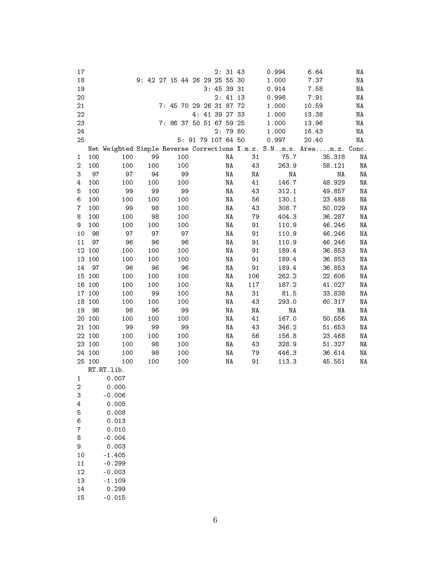| 17             |        |            |                               |                         |     |  |                    | 2:3143 |     | 0.994                                                                 | 6.64  |        | ΝA |
|----------------|--------|------------|-------------------------------|-------------------------|-----|--|--------------------|--------|-----|-----------------------------------------------------------------------|-------|--------|----|
| 18             |        |            | 9: 42 27 15 44 26 29 25 55 30 |                         |     |  |                    |        |     | 1.000                                                                 | 7.37  |        | NA |
| 19             |        |            |                               |                         |     |  | 3: 45 39 31        |        |     | 0.914                                                                 | 7.58  |        | NA |
| 20             |        |            |                               |                         |     |  |                    | 2:4113 |     | 0.998                                                                 | 7.91  |        | ΝA |
| 21             |        |            |                               | 7: 45 70 29 26 31 87 72 |     |  |                    |        |     | 1.000                                                                 | 10.59 |        | ΝA |
| 22             |        |            |                               |                         |     |  | 4: 41 39 27 33     |        |     | 1.000                                                                 | 13.38 |        | ΝA |
| 23             |        |            |                               | 7: 86 37 50 51 67 59 25 |     |  |                    |        |     | 1.000                                                                 | 13.96 |        | ΝA |
| 24             |        |            |                               |                         |     |  |                    | 2:7980 |     | 1.000                                                                 | 16.43 |        | ΝA |
| 25             |        |            |                               |                         |     |  | 5: 91 79 107 64 50 |        |     | 0.997                                                                 | 20.40 |        | ΝA |
|                |        |            |                               |                         |     |  |                    |        |     | Net Weighted Simple Reverse Corrections X.m.z. S.Nm.z. Aream.z. Conc. |       |        |    |
| $\mathbf{1}$   | 100    | 100        | 99                            |                         | 100 |  |                    | ΝA     | 31  | 75.7                                                                  |       | 35.318 | ΝA |
| $\overline{2}$ | 100    | 100        | 100                           |                         | 100 |  |                    | ΝA     | 43  | 263.9                                                                 |       | 58.121 | ΝA |
| 3              | 97     | 97         | 94                            |                         | 99  |  |                    | NA     | NA  | NA                                                                    |       | NA     | NA |
| 4              | 100    | 100        | 100                           |                         | 100 |  |                    | NA     | 41  | 146.7                                                                 |       | 48.929 | NA |
| 5              | 100    | 99         | 99                            |                         | 99  |  |                    | NA     | 43  | 312.1                                                                 |       | 49.857 | NA |
| 6              | 100    | 100        | 100                           |                         | 100 |  |                    | NA     | 56  | 130.1                                                                 |       | 23.488 | NA |
| $\overline{7}$ | 100    | 99         | 98                            |                         | 100 |  |                    | NA     | 43  | 308.7                                                                 |       | 50.029 | NA |
| 8              | 100    | 100        | 98                            |                         | 100 |  |                    | NA     | 79  | 404.3                                                                 |       | 36.287 | NA |
| 9              | 100    | 100        | 100                           |                         | 100 |  |                    | NA     | 91  | 110.9                                                                 |       | 46.246 | NA |
| 10             | 98     | 97         | 97                            |                         | 97  |  |                    | ΝA     | 91  | 110.9                                                                 |       | 46.246 | NA |
| 11             | 97     | 96         | 96                            |                         | 96  |  |                    | ΝA     | 91  | 110.9                                                                 |       | 46.246 | ΝA |
|                | 12 100 | 100        | 100                           |                         | 100 |  |                    | ΝA     | 91  | 189.4                                                                 |       | 36.853 | ΝA |
|                | 13 100 | 100        | 100                           |                         | 100 |  |                    | ΝA     | 91  | 189.4                                                                 |       | 36.853 | ΝA |
| 14             | 97     | 96         | 96                            |                         | 96  |  |                    | ΝA     | 91  | 189.4                                                                 |       | 36.853 | NA |
|                | 15 100 | 100        | 100                           |                         | 100 |  |                    | ΝA     | 106 | 262.2                                                                 |       | 22.606 | ΝA |
|                | 16 100 | 100        | 100                           |                         | 100 |  |                    | ΝA     | 117 | 187.2                                                                 |       | 41.027 | NA |
|                | 17 100 | 100        | 99                            |                         | 100 |  |                    | ΝA     | 31  | 81.5                                                                  |       | 33.838 | NA |
|                | 18 100 | 100        | 100                           |                         | 100 |  |                    | ΝA     | 43  | 293.0                                                                 |       | 60.317 | NA |
| 19             | 98     | 98         | 96                            |                         | 99  |  |                    | ΝA     | ΝA  | NA                                                                    |       | ΝA     | NA |
| 20             | 100    | 100        | 100                           |                         | 100 |  |                    | ΝA     | 41  | 167.0                                                                 |       | 50.556 | ΝA |
|                | 21 100 | 99         | 99                            |                         | 99  |  |                    | ΝA     | 43  | 346.2                                                                 |       | 51.653 | ΝA |
|                | 22 100 | 100        | 100                           |                         | 100 |  |                    | ΝA     | 56  | 156.8                                                                 |       | 23.468 | ΝA |
|                | 23 100 | 100        | 98                            |                         | 100 |  |                    | ΝA     | 43  | 328.9                                                                 |       | 51.327 | ΝA |
|                | 24 100 | 100        | 98                            |                         | 100 |  |                    | ΝA     | 79  | 446.3                                                                 |       | 36.614 | ΝA |
|                | 25 100 | 100        | 100                           |                         | 100 |  |                    | ΝA     | 91  | 113.3                                                                 |       | 45.551 | ΝA |
|                |        | RT.RT.lib. |                               |                         |     |  |                    |        |     |                                                                       |       |        |    |
| $\mathbf{1}$   |        | 0.007      |                               |                         |     |  |                    |        |     |                                                                       |       |        |    |
| 2              |        | 0.000      |                               |                         |     |  |                    |        |     |                                                                       |       |        |    |
| 3              |        | $-0.006$   |                               |                         |     |  |                    |        |     |                                                                       |       |        |    |
| 4              |        | 0.005      |                               |                         |     |  |                    |        |     |                                                                       |       |        |    |
| 5              |        | 0.008      |                               |                         |     |  |                    |        |     |                                                                       |       |        |    |
| 6              |        | 0.013      |                               |                         |     |  |                    |        |     |                                                                       |       |        |    |
| $\overline{7}$ |        | 0.010      |                               |                         |     |  |                    |        |     |                                                                       |       |        |    |
| 8              |        | $-0.004$   |                               |                         |     |  |                    |        |     |                                                                       |       |        |    |
| 9              |        | 0.003      |                               |                         |     |  |                    |        |     |                                                                       |       |        |    |
| 10             |        | $-1.405$   |                               |                         |     |  |                    |        |     |                                                                       |       |        |    |
| 11             |        | $-0.299$   |                               |                         |     |  |                    |        |     |                                                                       |       |        |    |
| 12             |        | $-0.003$   |                               |                         |     |  |                    |        |     |                                                                       |       |        |    |
| 13             |        | $-1.109$   |                               |                         |     |  |                    |        |     |                                                                       |       |        |    |
| 14             |        | 0.299      |                               |                         |     |  |                    |        |     |                                                                       |       |        |    |
| 15             |        | $-0.015$   |                               |                         |     |  |                    |        |     |                                                                       |       |        |    |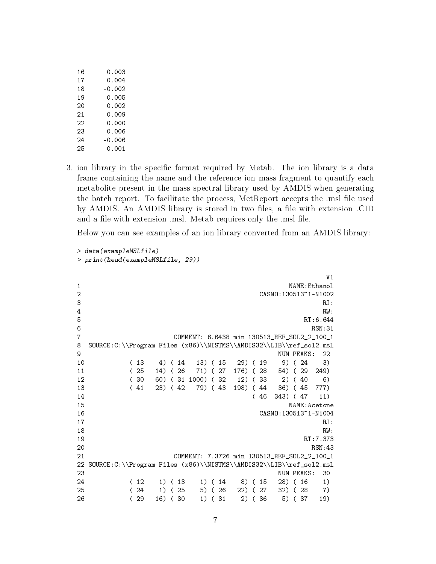| 16 | 0.003    |
|----|----------|
| 17 | 0.004    |
| 18 | $-0.002$ |
| 19 | 0.005    |
| つの | 0.002    |
| 21 | 0.009    |
| 22 | 0.000    |
| 23 | 0.006    |
| 24 | -0.006   |
| 25 | 0.001    |

3. ion library in the specific format required by Metab. The ion library is a data frame containing the name and the reference ion mass fragment to quantify each metabolite present in the mass spectral library used by AMDIS when generating the batch report. To facilitate the process, MetReport accepts the .msl file used by AMDIS. An AMDIS library is stored in two files, a file with extension .CID and a file with extension .msl. Metab requires only the .msl file.

Below you can see examples of an ion library converted from an AMDIS library:

```
> data(exampleMSLfile)
> print(head(exampleMSLfile, 29))
                                V1
1 NAME:Ethanol
2 CASNO:130513~1-N1002
3 \t R1:
4 \t RW:
5 RT:6.644
6 \text{ RSN}:317 COMMENT: 6.6438 min 130513_REF_SOL2_2_100_1
8 SOURCE:C:\\Program Files (x86)\\NISTMS\\AMDIS32\\LIB\\ref_sol2.msl
extending the state of the state of the state of the NUM PEAKS: 22 \sim NUM PEAKS: 22
10 ( 13 4) ( 14 13) ( 15 29) ( 19 9) ( 24 3)
11 ( 25 14) ( 26 71) ( 27 176) ( 28 54) ( 29 249)
12 ( 30 60) ( 31 1000) ( 32 12) ( 33 2) ( 40 6)
13 ( 41 23) ( 42 79) ( 43 198) ( 44 36) ( 45 777)
14 ( 46 343) ( 47 11)
15 NAME:Acetone
16 CASNO:130513~1-N1004
17 RI:
18 RW:
19 RT:7.373
20 RSN:43
21 COMMENT: 7.3726 min 130513_REF_SOL2_2_100_1
22 SOURCE:C:\\Program Files (x86)\\NISTMS\\AMDIS32\\LIB\\ref_sol2.msl
23 NUM PEAKS: 30
24 ( 12 1) ( 13 1) ( 14 8) ( 15 28) ( 16 1)
25 ( 24 1) ( 25 5) ( 26 22) ( 27 32) ( 28 7)
26 ( 29 16) ( 30 1) ( 31 2) ( 36 5) ( 37 19)
```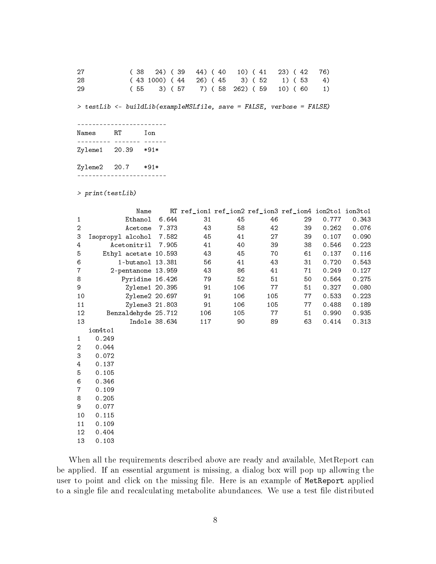| 27 | $(38 \t24) (39 \t44) (40 \t10) (41 \t23) (42 \t76)$   |  |  |
|----|-------------------------------------------------------|--|--|
| 28 | $(43\ 1000)$ $(44\ 26)$ $(45\ 3)$ $(52\ 1)$ $(53\ 4)$ |  |  |
| 29 | $(55 \t3) (57 \t7) (58 \t262) (59 \t10) (60 \t1)$     |  |  |

> testLib <- buildLib(exampleMSLfile, save = FALSE, verbose = FALSE)

------------------------ Names RT Ion --------- ------- ------ Zylene1 20.39 \*91\* Zylene2 20.7 \*91\* ------------------------

> print(testLib)

|                | Name                 |               |     | RT ref_ion1 ref_ion2 ref_ion3 ref_ion4 ion2to1 ion3to1 |     |    |       |       |
|----------------|----------------------|---------------|-----|--------------------------------------------------------|-----|----|-------|-------|
| $\mathbf{1}$   | Ethanol              | 6.644         | 31  | 45                                                     | 46  | 29 | 0.777 | 0.343 |
| $\overline{2}$ | Acetone              | 7.373         | 43  | 58                                                     | 42  | 39 | 0.262 | 0.076 |
| 3              | Isopropyl alcohol    | 7.582         | 45  | 41                                                     | 27  | 39 | 0.107 | 0.090 |
| 4              | Acetonitril          | 7.905         | 41  | 40                                                     | 39  | 38 | 0.546 | 0.223 |
| 5              | Ethyl acetate 10.593 |               | 43  | 45                                                     | 70  | 61 | 0.137 | 0.116 |
| 6              | 1-butanol 13.381     |               | 56  | 41                                                     | 43  | 31 | 0.720 | 0.543 |
| $\overline{7}$ | 2-pentanone 13.959   |               | 43  | 86                                                     | 41  | 71 | 0.249 | 0.127 |
| 8              | Pyridine 16.426      |               | 79  | 52                                                     | 51  | 50 | 0.564 | 0.275 |
| 9              | Zylene1 20.395       |               | 91  | 106                                                    | 77  | 51 | 0.327 | 0.080 |
| 10             | Zylene2 20.697       |               | 91  | 106                                                    | 105 | 77 | 0.533 | 0.223 |
| 11             | Zylene3 21.803       |               | 91  | 106                                                    | 105 | 77 | 0.488 | 0.189 |
| 12             | Benzaldehyde 25.712  |               | 106 | 105                                                    | 77  | 51 | 0.990 | 0.935 |
| 13             |                      | Indole 38.634 | 117 | 90                                                     | 89  | 63 | 0.414 | 0.313 |
|                | ion4to1              |               |     |                                                        |     |    |       |       |
| $\mathbf{1}$   | 0.249                |               |     |                                                        |     |    |       |       |
| $\overline{c}$ | 0.044                |               |     |                                                        |     |    |       |       |
| 3              | 0.072                |               |     |                                                        |     |    |       |       |
| 4              | 0.137                |               |     |                                                        |     |    |       |       |
| 5              | 0.105                |               |     |                                                        |     |    |       |       |
| 6              | 0.346                |               |     |                                                        |     |    |       |       |
| $\overline{7}$ | 0.109                |               |     |                                                        |     |    |       |       |
| 8              | 0.205                |               |     |                                                        |     |    |       |       |
| 9              | 0.077                |               |     |                                                        |     |    |       |       |
| 10             | 0.115                |               |     |                                                        |     |    |       |       |

11 0.109 12 0.404 13 0.103

When all the requirements described above are ready and available, MetReport can be applied. If an essential argument is missing, a dialog box will pop up allowing the user to point and click on the missing file. Here is an example of MetReport applied to a single file and recalculating metabolite abundances. We use a test file distributed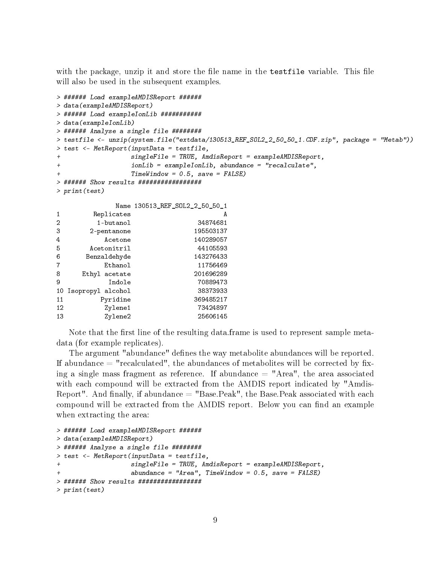with the package, unzip it and store the file name in the test file variable. This file will also be used in the subsequent examples.

```
> ###### Load exampleAMDISReport ######
> data(exampleAMDISReport)
> ###### Load exampleIonLib ###########
> data(exampleIonLib)
> ###### Analyse a single file ########
> testfile <- unzip(system.file("extdata/130513_REF_SOL2_2_50_50_1.CDF.zip", package = "Metab"))
> test <- MetReport(inputData = testfile,
              singleFile = TRUE, Amdiskeport = exampleAMDISReport,+ ionLib = exampleIonLib, abundance = "recalculate",
+ TimeWindow = 0.5, save = FALSE)
> ###### Show results #################
> print(test)
           Name 130513_REF_SOL2_2_50_50_1
1 Replicates A
2 1-butanol 34874681
3 2-pentanone 195503137
4 Acetone 140289057
5 Acetonitril 44105593
6 Benzaldehyde 143276433
7 Ethanol 11756469
8 Ethyl acetate 201696289
9 Indole 70889473
10 Isopropyl alcohol 38373933
11 Pyridine 369485217
12 Zylene1 73424897
13 Zylene2 25606145
```
Note that the first line of the resulting data.frame is used to represent sample metadata (for example replicates).

The argument "abundance" defines the way metabolite abundances will be reported. If abundance  $=$  "recalculated", the abundances of metabolites will be corrected by fixing a single mass fragment as reference. If abundance  $=$  "Area", the area associated with each compound will be extracted from the AMDIS report indicated by "Amdis-Report". And finally, if abundance  $=$  "Base.Peak", the Base.Peak associated with each compound will be extracted from the AMDIS report. Below you can find an example when extracting the area:

```
> ###### Load exampleAMDISReport ######
> data(exampleAMDISReport)
> ###### Analyse a single file ########
> test <- MetReport(inputData = testfile,
+ singleFile = TRUE, AmdisReport = exampleAMDISReport,
                   abundance = "Area", TimeWindow = 0.5, save = FALSE)> ###### Show results #################
> print(test)
```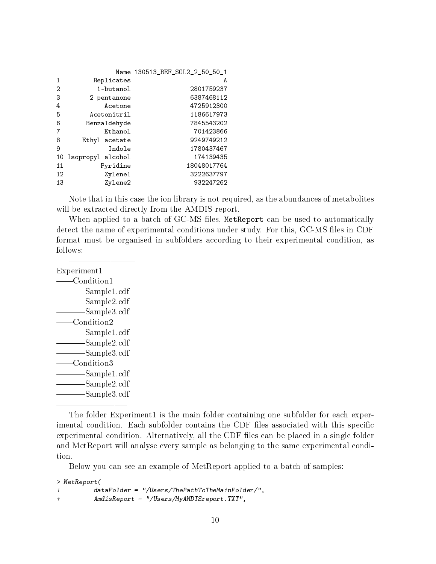|               | Name 130513 REF SOL2 2 50 50 1 |
|---------------|--------------------------------|
| Replicates    | A                              |
| 1-butanol     | 2801759237                     |
| 2-pentanone   | 6387468112                     |
| Acetone       | 4725912300                     |
| Acetonitril   | 1186617973                     |
| Benzaldehyde  | 7845543202                     |
| Ethanol       | 701423866                      |
| Ethyl acetate | 9249749212                     |
| Indole        | 1780437467                     |
|               | 174139435                      |
| Pyridine      | 18048017764                    |
| Zylene1       | 3222637797                     |
| Zylene2       | 932247262                      |
|               | 10 Isopropyl alcohol           |

Note that in this case the ion library is not required, as the abundances of metabolites will be extracted directly from the AMDIS report.

When applied to a batch of GC-MS files, MetReport can be used to automatically detect the name of experimental conditions under study. For this, GC-MS files in CDF format must be organised in subfolders according to their experimental condition, as follows:

Experiment1 Condition1 Sample1.cdf Sample2.cdf Sample3.cdf Condition2 Sample1.cdf Sample2.cdf Sample3.cdf Condition3 Sample1.cdf Sample2.cdf -Sample3.cdf

The folder Experiment1 is the main folder containing one subfolder for each experimental condition. Each subfolder contains the CDF files associated with this specific experimental condition. Alternatively, all the CDF files can be placed in a single folder and MetReport will analyse every sample as belonging to the same experimental condition.

Below you can see an example of MetReport applied to a batch of samples:

> MetReport( + dataFolder = "/Users/ThePathToTheMainFolder/", + AmdisReport = "/Users/MyAMDISreport.TXT",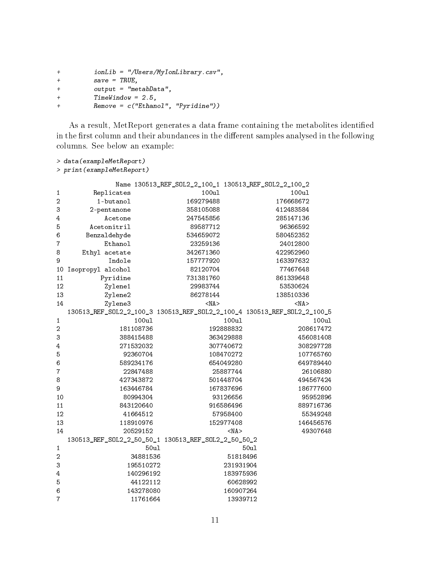```
+ ionLib = "/Users/MyIonLibrary.csv",
+ save = TRUE,
+ output = "metabData",
+ TimeWindow = 2.5,
+ Remove = c("Ethanol", "Pyridine"))
```
As a result, MetReport generates a data frame containing the metabolites identified in the first column and their abundances in the different samples analysed in the following columns. See below an example:

```
> data(exampleMetReport)
> print(exampleMetReport)
```

|                  |                                                                         | Name 130513_REF_SOL2_2_100_1 130513_REF_SOL2_2_100_2 |            |            |
|------------------|-------------------------------------------------------------------------|------------------------------------------------------|------------|------------|
| 1                | Replicates                                                              | 100ul                                                |            | 100ul      |
| $\boldsymbol{2}$ | 1-butanol                                                               | 169279488                                            |            | 176668672  |
| 3                | 2-pentanone                                                             | 358105088                                            |            | 412483584  |
| 4                | Acetone                                                                 | 247545856                                            |            | 285147136  |
| 5                | Acetonitril                                                             | 89587712                                             |            | 96366592   |
| 6                | Benzaldehyde                                                            | 534659072                                            |            | 580452352  |
| $\overline{7}$   | Ethanol                                                                 | 23259136                                             |            | 24012800   |
| 8                | Ethyl acetate                                                           | 342671360                                            |            | 422952960  |
| 9                | Indole                                                                  | 157777920                                            |            | 163397632  |
| 10               | Isopropyl alcohol                                                       | 82120704                                             |            | 77467648   |
| 11               | Pyridine                                                                | 731381760                                            |            | 861339648  |
| 12               | Zylene1                                                                 | 29983744                                             |            | 53530624   |
| 13               | Zylene2                                                                 | 86278144                                             |            | 138510336  |
| 14               | Zylene3                                                                 | $<$ NA $>$                                           |            | $<$ NA $>$ |
|                  | 130513_REF_S0L2_2_100_3 130513_REF_S0L2_2_100_4 130513_REF_S0L2_2_100_5 |                                                      |            |            |
| $\mathbf{1}$     | 100ul                                                                   |                                                      | 100ul      | 100ul      |
| $\overline{2}$   | 181108736                                                               |                                                      | 192888832  | 208617472  |
| 3                | 388415488                                                               |                                                      | 363429888  | 456081408  |
| 4                | 271532032                                                               |                                                      | 307740672  | 308297728  |
| 5                | 92360704                                                                |                                                      | 108470272  | 107765760  |
| 6                | 589234176                                                               |                                                      | 654049280  | 649789440  |
| $\overline{7}$   | 22847488                                                                |                                                      | 25887744   | 26106880   |
| 8                | 427343872                                                               |                                                      | 501448704  | 494567424  |
| 9                | 163446784                                                               |                                                      | 167837696  | 186777600  |
| 10               | 80994304                                                                |                                                      | 93126656   | 95952896   |
| 11               | 843120640                                                               |                                                      | 916586496  | 889716736  |
| 12               | 41664512                                                                |                                                      | 57958400   | 55349248   |
| 13               | 118910976                                                               |                                                      | 152977408  | 146456576  |
| 14               | 20529152                                                                |                                                      | $<$ NA $>$ | 49307648   |
|                  |                                                                         |                                                      |            |            |
| $\mathbf 1$      | 50ul                                                                    |                                                      | 50ul       |            |
| $\boldsymbol{2}$ | 34881536                                                                |                                                      | 51818496   |            |
| 3                | 195510272                                                               |                                                      | 231931904  |            |
| $\overline{4}$   | 140296192                                                               |                                                      | 183975936  |            |
| 5                | 44122112                                                                |                                                      | 60628992   |            |
| 6                | 143278080                                                               |                                                      | 160907264  |            |
| $\overline{7}$   | 11761664                                                                |                                                      | 13939712   |            |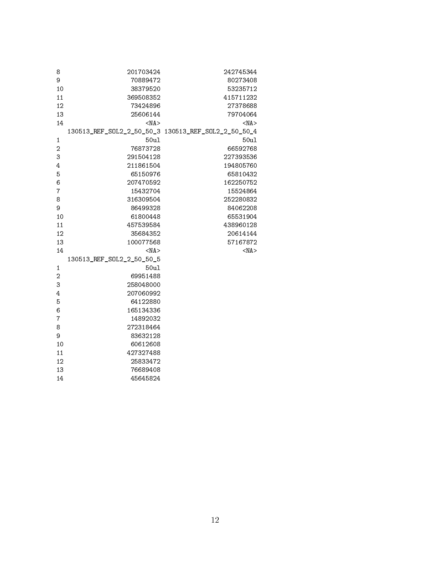| 8              | 201703424                 | 242745344  |
|----------------|---------------------------|------------|
| 9              | 70889472                  | 80273408   |
| 10             | 38379520                  | 53235712   |
| 11             | 369508352                 | 415711232  |
| 12             | 73424896                  | 27378688   |
| 13             | 25606144                  | 79704064   |
| 14             | $<$ NA $>$                | $<$ NA $>$ |
|                |                           |            |
| $\mathbf{1}$   | 50ul                      | 50ul       |
| $\overline{a}$ | 76873728                  | 66592768   |
| 3              | 291504128                 | 227393536  |
| 4              | 211861504                 | 194805760  |
| 5              | 65150976                  | 65810432   |
| 6              | 207470592                 | 162250752  |
| 7              | 15432704                  | 15524864   |
| 8              | 316309504                 | 252280832  |
| 9              | 86499328                  | 84062208   |
| 10             | 61800448                  | 65531904   |
| 11             | 457539584                 | 438960128  |
| 12             | 35684352                  | 20614144   |
| 13             | 100077568                 | 57167872   |
| 14             | $<$ NA $>$                | $<$ NA $>$ |
|                | 130513_REF_SOL2_2_50_50_5 |            |
| $\mathbf{1}$   | 50ul                      |            |
| $\overline{a}$ | 69951488                  |            |
| 3              | 258048000                 |            |
| 4              | 207060992                 |            |
| 5              | 64122880                  |            |
| 6              | 165134336                 |            |
| $\overline{7}$ | 14892032                  |            |
| 8              | 272318464                 |            |
| 9              | 83632128                  |            |
| 10             | 60612608                  |            |
| 11             | 427327488                 |            |
| 12             | 25833472                  |            |
| 13             | 76689408                  |            |
| 14             | 45645824                  |            |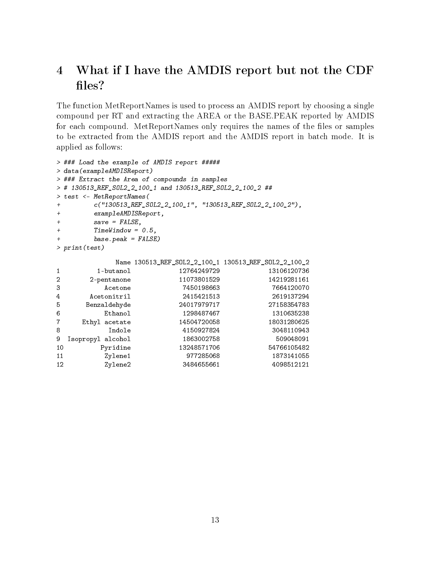# 4 What if I have the AMDIS report but not the CDF files?

The function MetReportNames is used to process an AMDIS report by choosing a single compound per RT and extracting the AREA or the BASE.PEAK reported by AMDIS for each compound. MetReportNames only requires the names of the files or samples to be extracted from the AMDIS report and the AMDIS report in batch mode. It is applied as follows:

```
> ### Load the example of AMDIS report #####
> data(exampleAMDISReport)
> ### Extract the Area of compounds in samples
> # 130513_REF_SOL2_2_100_1 and 130513_REF_SOL2_2_100_2 ##
> test <- MetReportNames(
+ c("130513_REF_SOL2_2_100_1", "130513_REF_SOL2_2_100_2"),
+ exampleAMDISReport,
+ save = FALSE,
+ TimeWindow = 0.5,
+ base.peak = FALSE)
> print(test)
          Name 130513_REF_SOL2_2_100_1 130513_REF_SOL2_2_100_2
1 1-butanol 12764249729 13106120736
2 2-pentanone 11073801529 14219281161
3 Acetone 7450198663 7664120070
4 Acetonitril 2415421513 2619137294
5 Benzaldehyde 24017979717 27158354783
6 Ethanol 1298487467 1310635238
7 Ethyl acetate 14504720058 18031280625
8 Indole 4150927824 3048110943
9 Isopropyl alcohol 1863002758 509048091
10 Pyridine 13248571706 54766105482
11 Zylene1 977285068 1873141055
12 Zylene2 3484655661 4098512121
```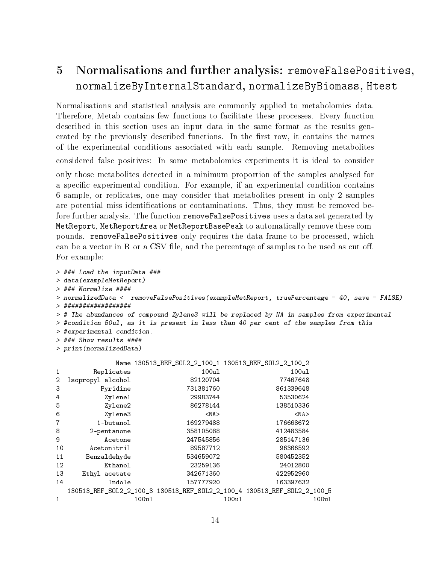## 5 Normalisations and further analysis: removeFalsePositives, normalizeByInternalStandard, normalizeByBiomass, Htest

Normalisations and statistical analysis are commonly applied to metabolomics data. Therefore, Metab contains few functions to facilitate these processes. Every function described in this section uses an input data in the same format as the results generated by the previously described functions. In the first row, it contains the names of the experimental conditions associated with each sample. Removing metabolites considered false positives: In some metabolomics experiments it is ideal to consider only those metabolites detected in a minimum proportion of the samples analysed for a specific experimental condition. For example, if an experimental condition contains 6 sample, or replicates, one may consider that metabolites present in only 2 samples are potential miss identifications or contaminations. Thus, they must be removed before further analysis. The function removeFalsePositives uses a data set generated by MetReport, MetReportArea or MetReportBasePeak to automatically remove these compounds. removeFalsePositives only requires the data frame to be processed, which can be a vector in  $R$  or a CSV file, and the percentage of samples to be used as cut off. For example:

```
> ### Load the inputData ###
> data(exampleMetReport)
> ### Normalize ####
> normalizedData <- removeFalsePositives(exampleMetReport, truePercentage = 40, save = FALSE)
> ##################
> # The abundances of compound Zylene3 will be replaced by NA in samples from experimental
> #condition 50ul, as it is present in less than 40 per cent of the samples from this
> #experimental condition.
> ### Show results ####
> print(normalizedData)
```

|                |                                                                         |       | Name 130513_REF_SOL2_2_100_1 130513_REF_SOL2_2_100_2 |            |       |            |       |
|----------------|-------------------------------------------------------------------------|-------|------------------------------------------------------|------------|-------|------------|-------|
| 1              | Replicates                                                              |       |                                                      | 100u1      |       | 100ul      |       |
| $\overline{2}$ | Isopropyl alcohol                                                       |       |                                                      | 82120704   |       | 77467648   |       |
| 3              | Pyridine                                                                |       |                                                      | 731381760  |       | 861339648  |       |
| 4              | Zylene1                                                                 |       |                                                      | 29983744   |       | 53530624   |       |
| 5              | Zylene2                                                                 |       |                                                      | 86278144   |       | 138510336  |       |
| 6              | Zylene3                                                                 |       |                                                      | $<$ NA $>$ |       | $<$ NA $>$ |       |
| 7              | 1-butanol                                                               |       |                                                      | 169279488  |       | 176668672  |       |
| 8              | 2-pentanone                                                             |       |                                                      | 358105088  |       | 412483584  |       |
| 9              | Acetone                                                                 |       |                                                      | 247545856  |       | 285147136  |       |
| 10             | Acetonitril                                                             |       |                                                      | 89587712   |       | 96366592   |       |
| 11             | Benzaldehyde                                                            |       |                                                      | 534659072  |       | 580452352  |       |
| 12             | Ethanol                                                                 |       |                                                      | 23259136   |       | 24012800   |       |
| 13             | Ethyl acetate                                                           |       |                                                      | 342671360  |       | 422952960  |       |
| 14             | Indole                                                                  |       |                                                      | 157777920  |       | 163397632  |       |
|                | 130513_REF_SOL2_2_100_3 130513_REF_SOL2_2_100_4 130513_REF_SOL2_2_100_5 |       |                                                      |            |       |            |       |
| $\mathbf{1}$   |                                                                         | 100u1 |                                                      |            | 100ul |            | 100u1 |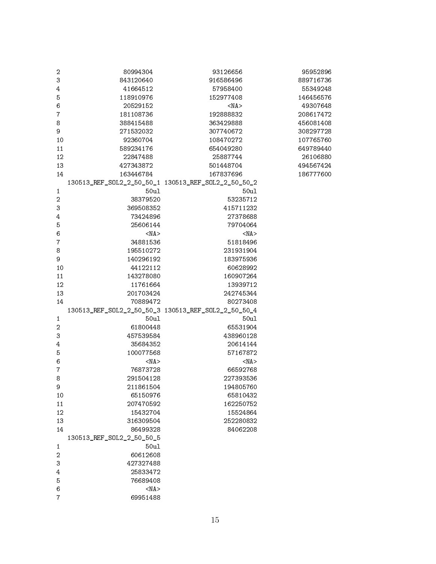| $\sqrt{2}$               | 80994304                  | 93126656              | 95952896  |
|--------------------------|---------------------------|-----------------------|-----------|
| 3                        | 843120640                 | 916586496             | 889716736 |
| $\overline{4}$           | 41664512                  | 57958400              | 55349248  |
| 5                        | 118910976                 | 152977408             | 146456576 |
| 6                        | 20529152                  | $<$ NA $>$            | 49307648  |
| $\overline{7}$           | 181108736                 | 192888832             | 208617472 |
| 8                        | 388415488                 | 363429888             | 456081408 |
| 9                        | 271532032                 | 307740672             | 308297728 |
| 10                       | 92360704                  | 108470272             | 107765760 |
| 11                       | 589234176                 | 654049280             | 649789440 |
| 12                       | 22847488                  | 25887744              | 26106880  |
| 13                       | 427343872                 | 501448704             | 494567424 |
| 14                       | 163446784                 | 167837696             | 186777600 |
|                          |                           |                       |           |
| $\mathbf{1}$             | 50ul                      | 50ul                  |           |
| $\overline{2}$           | 38379520                  | 53235712              |           |
| 3                        | 369508352                 | 415711232             |           |
| $\overline{4}$           | 73424896                  | 27378688              |           |
| 5                        | 25606144                  | 79704064              |           |
| 6                        | $<$ NA $>$                | $<$ NA $>$            |           |
| $\overline{7}$           | 34881536                  | 51818496              |           |
| 8                        | 195510272                 | 231931904             |           |
| 9                        | 140296192                 | 183975936             |           |
| 10                       | 44122112                  | 60628992              |           |
| 11                       | 143278080                 | 160907264             |           |
| 12                       | 11761664                  | 13939712              |           |
| 13                       | 201703424                 | 242745344             |           |
| 14                       | 70889472                  | 80273408              |           |
|                          |                           |                       |           |
| $\mathbf{1}$             | 50ul                      | 50ul                  |           |
| $\overline{c}$           | 61800448                  | 65531904              |           |
| 3                        | 457539584                 | 438960128             |           |
| $\overline{4}$           | 35684352                  | 20614144              |           |
| 5                        | 100077568                 | 57167872              |           |
| 6                        | $<$ NA $>$                | $<$ NA $>$            |           |
| $\overline{\mathcal{I}}$ |                           | 66592768              |           |
| 8                        | 76873728<br>291504128     | 227393536             |           |
| 9                        | 211861504                 | 194805760             |           |
|                          |                           |                       |           |
| 10<br>$11\,$             | 65150976<br>207470592     | 65810432              |           |
| 12                       |                           | 162250752             |           |
|                          | 15432704                  | 15524864              |           |
| 13                       | 316309504                 | 252280832<br>84062208 |           |
| 14                       | 86499328                  |                       |           |
|                          | 130513_REF_SOL2_2_50_50_5 |                       |           |
| 1<br>$\overline{2}$      | 50ul                      |                       |           |
| 3                        | 60612608                  |                       |           |
|                          | 427327488<br>25833472     |                       |           |
| 4                        |                           |                       |           |
| 5                        | 76689408                  |                       |           |
| 6                        | $<$ NA $>$                |                       |           |
| $\overline{7}$           | 69951488                  |                       |           |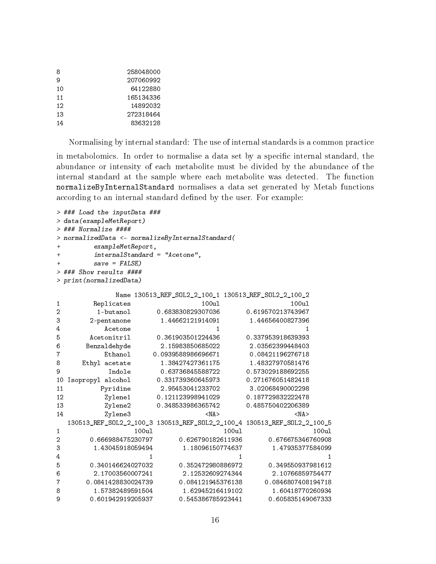| 258048000 |
|-----------|
| 207060992 |
| 64122880  |
| 165134336 |
| 14892032  |
| 272318464 |
| 83632128  |
|           |

Normalising by internal standard: The use of internal standards is a common practice

in metabolomics. In order to normalise a data set by a specific internal standard, the abundance or intensity of each metabolite must be divided by the abundance of the internal standard at the sample where each metabolite was detected. The function normalizeByInternalStandard normalises a data set generated by Metab functions according to an internal standard defined by the user. For example:

```
> ### Load the inputData ###
> data(exampleMetReport)
> ### Normalize ####
> normalizedData <- normalizeByInternalStandard(
      exampleMetReport,
+ internalStandard = "Acetone",
      save = FALSE)> ### Show results ####
> print(normalizedData)
           Name 130513 REF SOL2 2 100 1 130513 REF SOL2 2 100 2
1 Replicates 100ul 100ul 100ul
2 1-butanol 0.683830829307036 0.619570213743967
3 2-pentanone 1.44662121914091 1.44656400827396
4 Acetone 1 1
5 Acetonitril 0.361903501224436 0.337953918639393
6 Benzaldehyde 2.15983850685022 2.03562399448403
7 Ethanol 0.0939588986696671 0.08421196276718
8 Ethyl acetate 1.38427427361175 1.48327970581476
9 Indole 0.63736845588722 0.573029188692255
10 Isopropyl alcohol 0.331739360645973 0.271676051482418
11 Pyridine 2.95453041233702 3.02068490002298
12 Zylene1 0.121123998941029 0.187729832222478
13 Zylene2 0.348533986365742 0.485750402206389
14 Zylene3 <NA> <NA>
  130513_REF_SOL2_2_100_3 130513_REF_SOL2_2_100_4 130513_REF_SOL2_2_100_5
1 100ul 100ul 100ul
2 0.666988475230797 0.626790182611936 0.676675346760908
3 1.43045918059494 1.18096150774637 1.47935377584099
\frac{4}{1} 1 1 1 1
5 0.340146624027032 0.352472980886972 0.349550937981612
6 2.17003560007241 2.12532609274344 2.10766859754477
7 0.0841428830024739 0.084121945376138 0.0846807408194718
8 1.57382489591504 1.62945216419102 1.60418770260934
9 0.601942919205937 0.545386785923441 0.605835149067333
```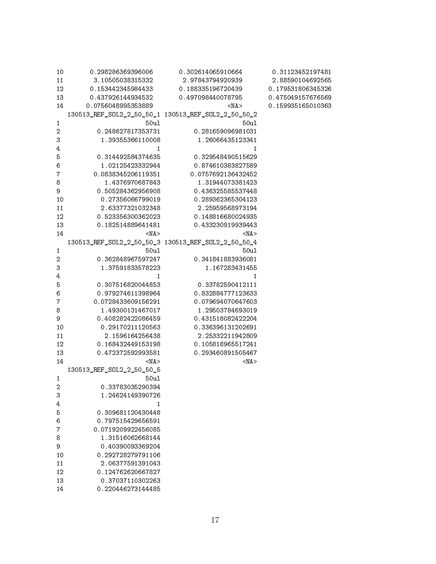| 10             | 0.298286369396006                      | 0.302614065910664                     | 0.31123452197481  |
|----------------|----------------------------------------|---------------------------------------|-------------------|
| 11             | 3.10505038315332                       | 2.97843794920939                      | 2.88590104692565  |
| 12             | 0.153442345984433                      | 0.188335196720439                     | 0.179531806345326 |
| 13             | 0.437926144934532                      | 0.497098440078795                     | 0.475049157676569 |
| 14             | 0.0756048995353889                     | $<$ NA $>$                            | 0.159935165010363 |
|                |                                        |                                       |                   |
| $\mathbf{1}$   | 50ul                                   | 50ul                                  |                   |
| $\mathbf{2}$   | 0.248627817353731                      | 0.281659096981031                     |                   |
| 3              | 1.39355366110008                       | 1.26066435123341                      |                   |
| 4              | 1                                      | 1                                     |                   |
| 5              | 0.314492584374635                      | 0.329548490515629                     |                   |
| 6              | 1.02125423332944                       | 0.874610383827589                     |                   |
| 7              | 0.0838345206119351                     | 0.0757692136432452                    |                   |
| 8              | 1.4376970687843                        | 1.31944073381423                      |                   |
| 9              | 0.505284362956908                      | 0.436325585537448                     |                   |
| 10             | 0.27356066799019                       | 0.289362365304123                     |                   |
| 11             | 2.63377321032348                       | 2.25959568973194                      |                   |
| 12             | 0.523356300362023                      | 0.148816680024935                     |                   |
| 13             | 0.182514889641481                      | 0.433230919939443                     |                   |
| 14             | <na></na>                              | <na></na>                             |                   |
|                |                                        |                                       |                   |
| $\mathbf{1}$   | 50ul                                   | 50ul                                  |                   |
| $\overline{2}$ | 0.362848967597247                      | 0.341841883936081                     |                   |
| 3              | 1.37591833578223                       | 1.167283431455                        |                   |
| 4              | 1                                      | $\mathbf{1}$                          |                   |
| 5              |                                        |                                       |                   |
| 6              | 0.307516820044853<br>0.979274611398964 | 0.33782590412111<br>0.832884777123633 |                   |
| 7              | 0.0728433609156291                     | 0.079694070647603                     |                   |
| 8              | 1.49300131467017                       | 1.29503784693019                      |                   |
| 9              | 0.408282422086459                      | 0.431518082422204                     |                   |
| 10             | 0.29170211120563                       | 0.336396131202691                     |                   |
| 11             | 2.1596164256438                        | 2.25332211942809                      |                   |
| 12             | 0.168432449153198                      | 0.105818965517241                     |                   |
|                | 0.472372592993581                      | 0.293460891505467                     |                   |
| 13             |                                        |                                       |                   |
| 14             | $<$ NA $>$                             | $<$ NA $>$                            |                   |
|                | 130513_REF_SOL2_2_50_50_5              |                                       |                   |
| $\mathbf{1}$   | 50ul                                   |                                       |                   |
| 2              | 0.33783035290394                       |                                       |                   |
| 3              | 1.24624149390726                       |                                       |                   |
| 4              | 1                                      |                                       |                   |
| 5              | 0.309681120430448                      |                                       |                   |
| 6              | 0.797515429656591                      |                                       |                   |
| 7              | 0.0719209922456085                     |                                       |                   |
| 8              | 1.31516062668144                       |                                       |                   |
| 9              | 0.40390093369204                       |                                       |                   |
| 10             | 0.292728279791106                      |                                       |                   |
| 11             | 2.06377591391043                       |                                       |                   |
| 12             | 0.124762620667827                      |                                       |                   |
| 13             | 0.37037110302263                       |                                       |                   |
| 14             | 0.220446273144485                      |                                       |                   |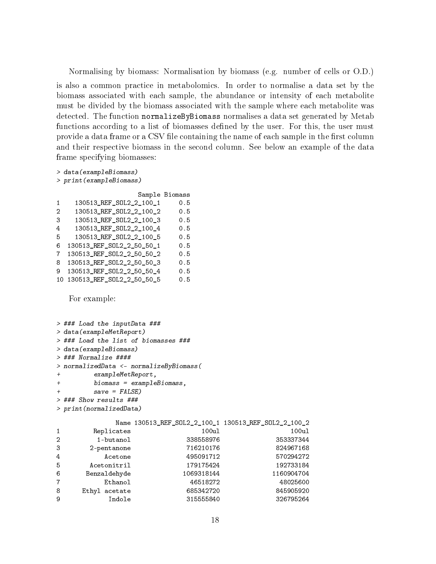Normalising by biomass: Normalisation by biomass (e.g. number of cells or O.D.) is also a common practice in metabolomics. In order to normalise a data set by the biomass associated with each sample, the abundance or intensity of each metabolite must be divided by the biomass associated with the sample where each metabolite was detected. The function normalizeByBiomass normalises a data set generated by Metab functions according to a list of biomasses defined by the user. For this, the user must provide a data frame or a CSV file containing the name of each sample in the first column and their respective biomass in the second column. See below an example of the data frame specifying biomasses:

```
> data(exampleBiomass)
> print(exampleBiomass)
```
Sample Biomass 1 130513\_REF\_SOL2\_2\_100\_1 0.5 2 130513\_REF\_SOL2\_2\_100\_2 0.5 3 130513\_REF\_SOL2\_2\_100\_3 0.5 4 130513\_REF\_SOL2\_2\_100\_4 0.5 5 130513\_REF\_SOL2\_2\_100\_5 0.5 6 130513\_REF\_SOL2\_2\_50\_50\_1 0.5 7 130513\_REF\_SOL2\_2\_50\_50\_2 0.5 8 130513\_REF\_SOL2\_2\_50\_50\_3 0.5 9 130513\_REF\_SOL2\_2\_50\_50\_4 0.5 10 130513\_REF\_SOL2\_2\_50\_50\_5 0.5

For example:

```
> ### Load the inputData ###
> data(exampleMetReport)
> ### Load the list of biomasses ###
> data(exampleBiomass)
> ### Normalize ####
> normalizedData <- normalizeByBiomass(
+ exampleMetReport,
+ biomass = exampleBiomass,
+ save = FALSE)
> ### Show results ###
> print(normalizedData)
          Name 130513_REF_SOL2_2_100_1 130513_REF_SOL2_2_100_2
1 Replicates 100ul 100ul 100ul
2 1-butanol 338558976 353337344
3 2-pentanone 716210176 824967168
4 Acetone 495091712 570294272
5 Acetonitril 179175424 192733184
6 Benzaldehyde 1069318144 1160904704
7 Ethanol 46518272 48025600
8 Ethyl acetate 685342720 845905920
9 Indole 315555840 326795264
```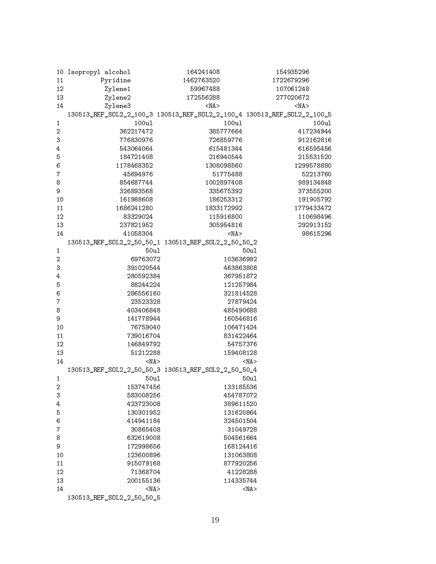|                | 10 Isopropyl alcohol                                                    | 164241408  | 154935296  |
|----------------|-------------------------------------------------------------------------|------------|------------|
| 11             | Pyridine                                                                | 1462763520 | 1722679296 |
| 12             | Zylene1                                                                 | 59967488   | 107061248  |
| 13             | Zylene2                                                                 | 172556288  | 277020672  |
| 14             | Zylene3                                                                 | $<$ NA $>$ | $<$ NA $>$ |
|                | 130513_REF_S0L2_2_100_3 130513_REF_S0L2_2_100_4 130513_REF_S0L2_2_100_5 |            |            |
| $\mathbf{1}$   | 100ul                                                                   | 100ul      | 100ul      |
| $\overline{c}$ | 362217472                                                               | 385777664  | 417234944  |
| 3              | 776830976                                                               | 726859776  | 912162816  |
| 4              | 543064064                                                               | 615481344  | 616595456  |
| 5              | 184721408                                                               | 216940544  | 215531520  |
| 6              | 1178468352                                                              | 1308098560 | 1299578880 |
| $\overline{7}$ | 45694976                                                                | 51775488   | 52213760   |
| 8              | 854687744                                                               | 1002897408 | 989134848  |
| 9              | 326893568                                                               | 335675392  | 373555200  |
| 10             | 161988608                                                               | 186253312  | 191905792  |
|                |                                                                         |            |            |
| 11             | 1686241280                                                              | 1833172992 | 1779433472 |
| 12             | 83329024                                                                | 115916800  | 110698496  |
| 13             | 237821952                                                               | 305954816  | 292913152  |
| 14             | 41058304                                                                | $<$ NA $>$ | 98615296   |
|                |                                                                         |            |            |
| $\mathbf{1}$   | 50ul                                                                    |            | 50ul       |
| $\overline{c}$ | 69763072                                                                | 103636992  |            |
| 3              | 391020544                                                               | 463863808  |            |
| 4              | 280592384                                                               | 367951872  |            |
| 5              | 88244224                                                                | 121257984  |            |
| 6              | 286556160                                                               | 321814528  |            |
| 7              | 23523328                                                                | 27879424   |            |
| 8              | 403406848                                                               | 485490688  |            |
| 9              | 141778944                                                               | 160546816  |            |
| 10             | 76759040                                                                | 106471424  |            |
| 11             | 739016704                                                               | 831422464  |            |
| 12             | 146849792                                                               | 54757376   |            |
| 13             | 51212288                                                                | 159408128  |            |
| 14             | $<$ NA $>$                                                              |            | $<$ NA $>$ |
|                |                                                                         |            |            |
| $\mathbf{1}$   | 50ul                                                                    |            | 50ul       |
| $\overline{2}$ | 153747456                                                               | 133185536  |            |
| 3              | 583008256                                                               | 454787072  |            |
| 4              | 423723008                                                               | 389611520  |            |
| 5              | 130301952                                                               | 131620864  |            |
| 6              | 414941184                                                               | 324501504  |            |
| 7              | 30865408                                                                | 31049728   |            |
| 8              | 632619008                                                               | 504561664  |            |
| 9              | 172998656                                                               | 168124416  |            |
| 10             | 123600896                                                               | 131063808  |            |
| 11             | 915079168                                                               | 877920256  |            |
| 12             | 71368704                                                                | 41228288   |            |
| 13             | 200155136                                                               | 114335744  |            |
| 14             | $<$ NA $>$                                                              |            | $<$ NA $>$ |
|                | 130513_REF_SOL2_2_50_50_5                                               |            |            |
|                |                                                                         |            |            |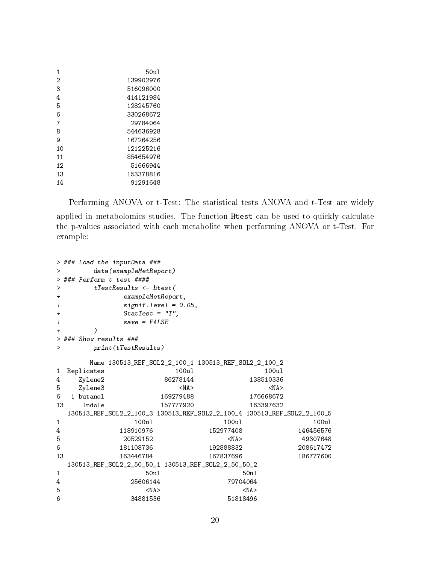| 1  | 50u1      |
|----|-----------|
| 2  | 139902976 |
| 3  | 516096000 |
| 4  | 414121984 |
| 5  | 128245760 |
| 6  | 330268672 |
| 7  | 29784064  |
| 8  | 544636928 |
| 9  | 167264256 |
| 10 | 121225216 |
| 11 | 854654976 |
| 12 | 51666944  |
| 13 | 153378816 |
| 14 | 91291648  |

Performing ANOVA or t-Test: The statistical tests ANOVA and t-Test are widely applied in metabolomics studies. The function Htest can be used to quickly calculate the p-values associated with each metabolite when performing ANOVA or t-Test. For example:

```
> ### Load the inputData ###
> data(exampleMetReport)
> ### Perform t-test ####
> tTestResults <- htest(
+ exampleMetReport,
+ signif.level = 0.05,
+ StatTest = "T",
+ save = FALSE
+ )
> ### Show results ###
> print(tTestResults)
    Name 130513_REF_SOL2_2_100_1 130513_REF_SOL2_2_100_2
1 Replicates 100ul 100ul 100ul
4 Zylene2 86278144 138510336
5 Zylene3 <NA> <NA> <NA> <NA
6 1-butanol 169279488 176668672
13 Indole 157777920 163397632
 130513_REF_SOL2_2_100_3 130513_REF_SOL2_2_100_4 130513_REF_SOL2_2_100_5
1 100ul 100ul 100ul
4 118910976 152977408 146456576
5 20529152 <NA> 49307648
6 181108736 192888832 208617472
13 163446784 167837696 186777600
 130513_REF_SOL2_2_50_50_1 130513_REF_SOL2_2_50_50_2
1 50ul 50ul
4 25606144 79704064
5 <NA> <NA
6 34881536 51818496
```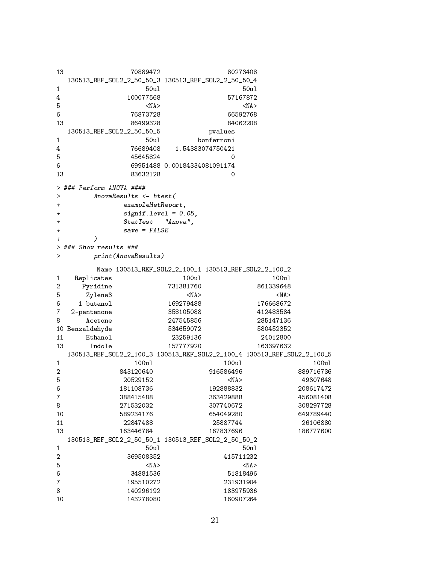```
13 70889472 80273408
 130513_REF_SOL2_2_50_50_3 130513_REF_SOL2_2_50_50_4
1 50ul 50ul 50ul 50ul 50ul
4 100077568 57167872
5 <NA> <NA
6 76873728 66592768
13 86499328 84062208
 130513_REF_SOL2_2_50_50_5 pvalues
1 50ul bonferroni
4 76689408 -1.54383074750421
5 45645824 0
6 69951488 0.00184334081091174
13 83632128 0
> ### Perform ANOVA ####
> AnovaResults <- htest(
+ exampleMetReport,
+ signif.level = 0.05,
+ StatTest = "Anova",
+ save = FALSE
+ )
> ### Show results ###
> print(AnovaResults)
     Name 130513_REF_SOL2_2_100_1 130513_REF_SOL2_2_100_2
1 Replicates 100ul 100ul 100ul
2 Pyridine 731381760 861339648
5 Zylene3 <NA> <NA>
6 1-butanol 169279488 176668672
7 2-pentanone 358105088 412483584
8 Acetone 247545856 285147136
10 Benzaldehyde 534659072 580452352
11 Ethanol 23259136 24012800
13 Indole 157777920 163397632
 130513_REF_SOL2_2_100_3 130513_REF_SOL2_2_100_4 130513_REF_SOL2_2_100_5
1 100ul 100ul 100ul
2 843120640 916586496 889716736
5 20529152 <NA> 49307648
6 181108736 192888832 208617472
7 388415488 363429888 456081408
8 271532032 307740672 308297728
10 589234176 654049280 649789440
11 22847488 25887744 26106880
13 163446784 167837696 186777600
 130513_REF_SOL2_2_50_50_1 130513_REF_SOL2_2_50_50_2
1 50ul 50ul 50ul 50ul 50ul
2 369508352 415711232
5 <NA> <NA
6 34881536 51818496
7 195510272 231931904
8 140296192 183975936
10 143278080 160907264
```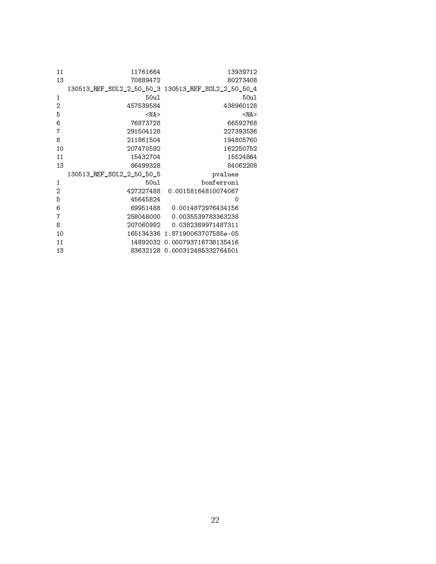| 11 | 11761664                                            | 13939712                       |
|----|-----------------------------------------------------|--------------------------------|
| 13 | 70889472                                            | 80273408                       |
|    | 130513 REF SOL2 2 50 50 3 130513 REF SOL2 2 50 50 4 |                                |
| 1  | 50ul                                                | 50u1                           |
| 2  | 457539584                                           | 438960128                      |
| 5  | $<$ NA $>$                                          | $<$ NA $>$                     |
| 6  | 76873728                                            | 66592768                       |
| 7  | 291504128                                           | 227393536                      |
| 8  | 211861504                                           | 194805760                      |
| 10 | 207470592                                           | 162250752                      |
| 11 | 15432704                                            | 15524864                       |
| 13 | 86499328                                            | 84062208                       |
|    | 130513 REF SOL2 2 50 50 5                           | pvalues                        |
| 1  | 50u1                                                | bonferroni                     |
| 2  | 427327488                                           | 0.00158164810074067            |
| 5  | 45645824                                            | 0                              |
| 6  |                                                     | 69951488   0.0014872976434156  |
| 7  |                                                     | 258048000 0.0035539783363238   |
| 8  |                                                     | 207060992 0.0382389971487311   |
| 10 |                                                     | 165134336 1.87190063707585e-05 |
| 11 |                                                     | 14892032 0.000793716738135416  |
| 13 |                                                     | 83632128 0.000312485332764501  |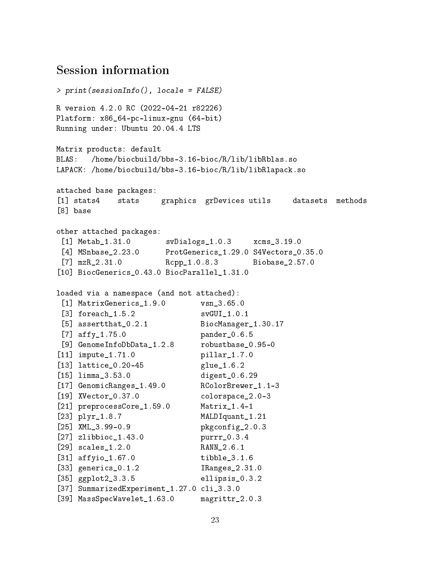## Session information

```
> print(sessionInfo(), locale = FALSE)
R version 4.2.0 RC (2022-04-21 r82226)
Platform: x86_64-pc-linux-gnu (64-bit)
Running under: Ubuntu 20.04.4 LTS
Matrix products: default
BLAS: /home/biocbuild/bbs-3.16-bioc/R/lib/libRblas.so
LAPACK: /home/biocbuild/bbs-3.16-bioc/R/lib/libRlapack.so
attached base packages:
[1] stats4 stats graphics grDevices utils datasets methods
[8] base
other attached packages:
 [1] Metab_1.31.0 svDialogs_1.0.3 xcms_3.19.0
 [4] MSnbase_2.23.0 ProtGenerics_1.29.0 S4Vectors_0.35.0
[7] mzR_2.31.0 Rcpp_1.0.8.3 Biobase_2.57.0
[10] BiocGenerics_0.43.0 BiocParallel_1.31.0
loaded via a namespace (and not attached):
 [1] MatrixGenerics_1.9.0 vsn_3.65.0
 [3] foreach_1.5.2 svGUI_1.0.1
 [5] assertthat_0.2.1 BiocManager_1.30.17
 [7] affy_1.75.0 pander_0.6.5
 [9] GenomeInfoDbData_1.2.8 robustbase_0.95-0
[11] impute_1.71.0 pillar_1.7.0
[13] lattice_0.20-45 glue_1.6.2
[15] limma_3.53.0 digest_0.6.29
[17] GenomicRanges_1.49.0 RColorBrewer_1.1-3
[19] XVector_0.37.0 colorspace_2.0-3
[21] preprocessCore_1.59.0 Matrix_1.4-1
[23] plyr_1.8.7 MALDIquant_1.21
[25] XML_3.99-0.9 pkgconfig_2.0.3
[27] zlibbioc_1.43.0 purrr_0.3.4
[29] scales_1.2.0 RANN_2.6.1
[31] affyio_1.67.0 tibble_3.1.6
[33] generics_0.1.2 IRanges_2.31.0
[35] ggplot2_3.3.5 ellipsis_0.3.2
[37] SummarizedExperiment_1.27.0 cli_3.3.0
[39] MassSpecWavelet_1.63.0 magrittr_2.0.3
```